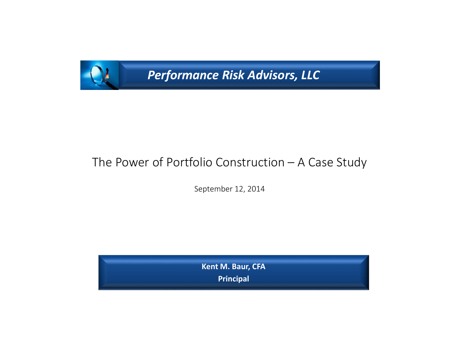

*Performance Risk Advisors, LLC* 

# The Power of Portfolio Construction – A Case Study

September 12, 2014

**Kent M. Baur, CFA Principal**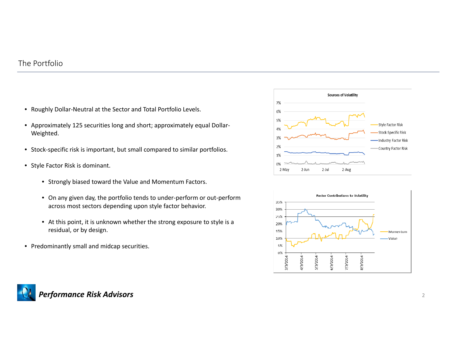#### The Portfolio

- Roughly Dollar‐Neutral at the Sector and Total Portfolio Levels.
- Approximately 125 securities long and short; approximately equal Dollar‐ Weighted.
- Stock-specific risk is important, but small compared to similar portfolios.
- Style Factor Risk is dominant.
	- Strongly biased toward the Value and Momentum Factors.
	- On any given day, the portfolio tends to under‐perform or out‐perform across most sectors depending upon style factor behavior.
	- At this point, it is unknown whether the strong exposure to style is <sup>a</sup> residual, or by design.
- Predominantly small and midcap securities.





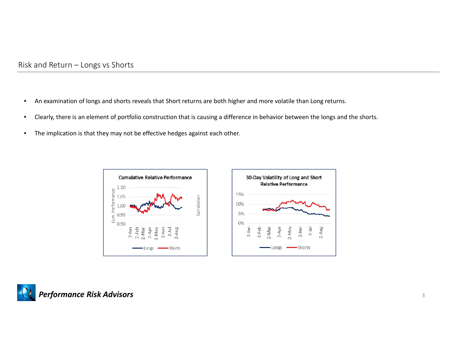- •An examination of longs and shorts reveals that Short returns are both higher and more volatile than Long returns.
- •Clearly, there is an element of portfolio construction that is causing <sup>a</sup> difference in behavior between the longs and the shorts.
- •The implication is that they may not be effective hedges against each other.





2-Aug

VeM-Z  $2-Jun$  $2 - Ju$ 

-Shorts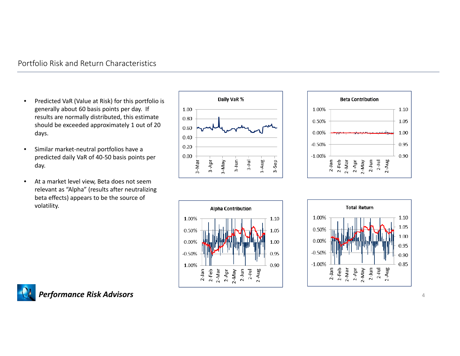#### Portfolio Risk and Return Characteristics

- •• Predicted VaR (Value at Risk) for this portfolio is generally about 60 basis points per day. If results are normally distributed, this estimate should be exceeded approximately 1 out of 20 days.
- • Similar market‐neutral portfolios have <sup>a</sup> predicted daily VaR of 40‐50 basis points per day.
- • At a market level view, Beta does not seem relevant as "Alpha" (results after neutralizing beta effects) appears to be the source of volatility.









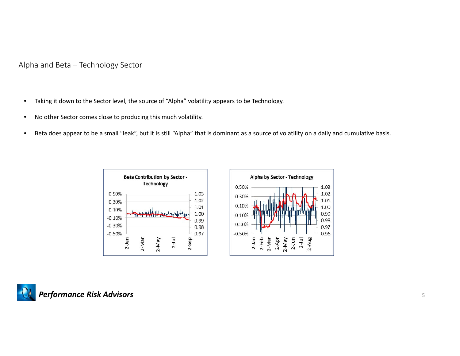- •Taking it down to the Sector level, the source of "Alpha" volatility appears to be Technology.
- •No other Sector comes close to producing this much volatility.
- •Beta does appear to be <sup>a</sup> small "leak", but it is still "Alpha" that is dominant as <sup>a</sup> source of volatility on <sup>a</sup> daily and cumulative basis.





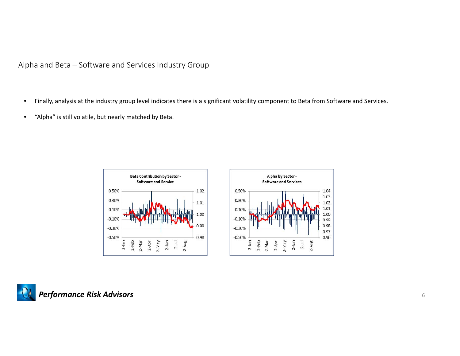- •Finally, analysis at the industry group level indicates there is <sup>a</sup> significant volatility component to Beta from Software and Services.
- •"Alpha" is still volatile, but nearly matched by Beta.





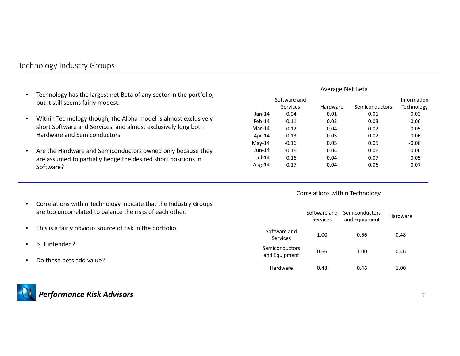## Technology Industry Groups

- $\bullet$  Technology has the largest net Beta of any sector in the portfolio, but it still seems fairly modest.
- $\bullet$  Within Technology though, the Alpha model is almost exclusively short Software and Services, and almost exclusively long both Hardware and Semiconductors.
- $\bullet$  Are the Hardware and Semiconductors owned only because they are assumed to partially hedge the desired short positions in Software?

#### • Correlations within Technology indicate that the Industry Groups are too uncorrelated to balance the risks of each other.

- •This is a fairly obvious source of risk in the portfolio.
- •• Is it intended?
- $\bullet$ • Do these bets add value?



#### Average Net Beta

|           | Software and |          |                | Information |
|-----------|--------------|----------|----------------|-------------|
|           | Services     | Hardware | Semiconductors | Technology  |
| $Jan-14$  | $-0.04$      | 0.01     | 0.01           | $-0.03$     |
| $Feb-14$  | $-0.11$      | 0.02     | 0.03           | $-0.06$     |
| $Mar-14$  | $-0.12$      | 0.04     | 0.02           | $-0.05$     |
| Apr- $14$ | $-0.13$      | 0.05     | 0.02           | $-0.06$     |
| $Mav-14$  | $-0.16$      | 0.05     | 0.05           | $-0.06$     |
| $J$ un-14 | $-0.16$      | 0.04     | 0.06           | $-0.06$     |
| $Jul-14$  | $-0.16$      | 0.04     | 0.07           | $-0.05$     |
| Aug-14    | $-0.17$      | 0.04     | 0.06           | $-0.07$     |

#### Correlations within Technology

|                                 | Software and<br>Services | Semiconductors<br>and Equipment | Hardware |
|---------------------------------|--------------------------|---------------------------------|----------|
| Software and<br>Services        | 1.00                     | 0.66                            | 0.48     |
| Semiconductors<br>and Equipment | 0.66                     | 1.00                            | 0.46     |
| Hardware                        | 0.48                     | 0.46                            | 1 NO     |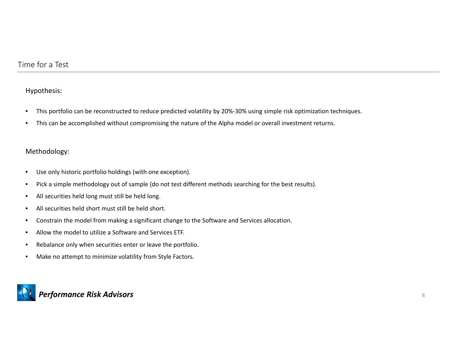#### Hypothesis:

- $\bullet$ This portfolio can be reconstructed to reduce predicted volatility by 20%‐30% using simple risk optimization techniques.
- •This can be accomplished without compromising the nature of the Alpha model or overall investment returns.

#### Methodology:

- •Use only historic portfolio holdings (with one exception).
- •Pick a simple methodology out of sample (do not test different methods searching for the best results).
- •All securities held long must still be held long.
- •All securities held short must still be held short.
- •Constrain the model from making <sup>a</sup> significant change to the Software and Services allocation.
- •Allow the model to utilize <sup>a</sup> Software and Services ETF.
- •Rebalance only when securities enter or leave the portfolio.
- $\bullet$ Make no attempt to minimize volatility from Style Factors.

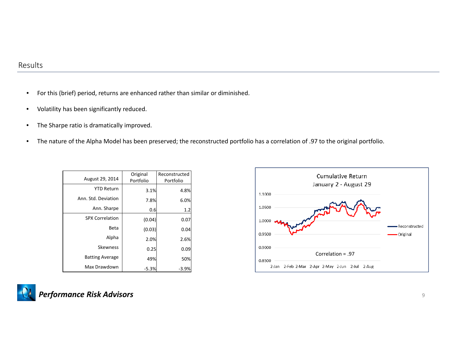- •For this (brief) period, returns are enhanced rather than similar or diminished.
- •Volatility has been significantly reduced.
- •The Sharpe ratio is dramatically improved.
- •The nature of the Alpha Model has been preserved; the reconstructed portfolio has <sup>a</sup> correlation of .97 to the original portfolio.

| August 29, 2014        | Original<br>Portfolio | Reconstructed<br>Portfolio |
|------------------------|-----------------------|----------------------------|
| <b>YTD Return</b>      | 3.1%                  | 4.8%                       |
| Ann. Std. Deviation    | 7.8%                  | 6.0%                       |
| Ann. Sharpe            | 0.6                   | 1.2                        |
| <b>SPX Correlation</b> | (0.04)                | 0.07                       |
| Beta                   | (0.03)                | 0.04                       |
| Alpha                  | 2.0%                  | 2.6%                       |
| <b>Skewness</b>        | 0.25                  | 0.09                       |
| <b>Batting Average</b> | 49%                   | 50%                        |
| Max Drawdown           | $-5.3%$               | $-3.9%$                    |



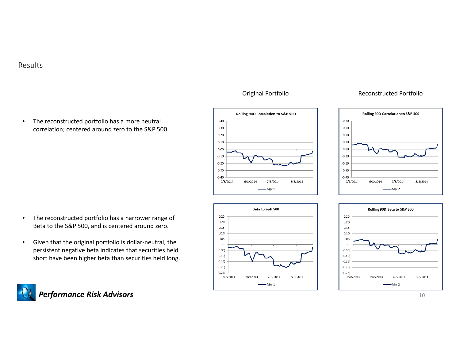• The reconstructed portfolio has <sup>a</sup> more neutral correlation; centered around zero to the S&P 500.

- • The reconstructed portfolio has <sup>a</sup> narrower range of Beta to the S&P 500, and is centered around zero.
- •● Given that the original portfolio is dollar-neutral, the persistent negative beta indicates that securities held short have been higher beta than securities held long.





#### Original Portfolio Reconstructed Portfolio





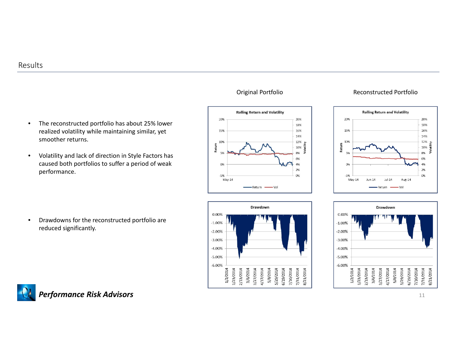

• Volatility and lack of direction in Style Factors has caused both portfolios to suffer <sup>a</sup> period of weak performance.

• Drawdowns for the reconstructed portfolio are reduced significantly.







#### Original Portfolio Reconstructed Portfolio



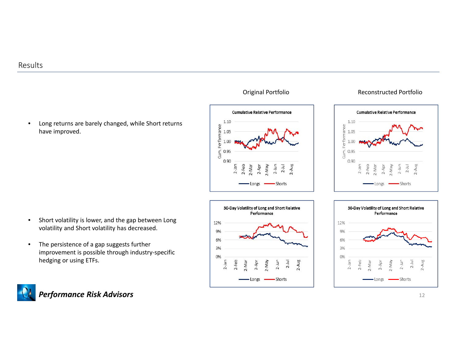

- • Short volatility is lower, and the gap between Long volatility and Short volatility has decreased.
- • The persistence of <sup>a</sup> gap suggests further improvement is possible through industry‐specific hedging or using ETFs.







#### Original Portfolio Reconstructed Portfolio



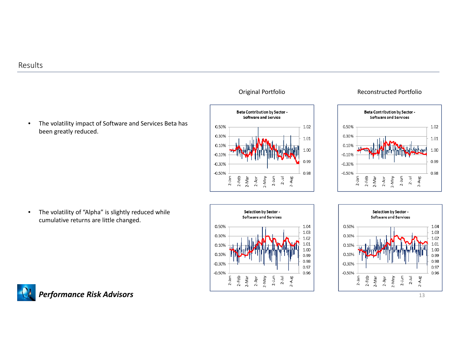







#### Original Portfolio **Reconstructed Portfolio**





![](_page_12_Figure_8.jpeg)

![](_page_12_Picture_9.jpeg)

13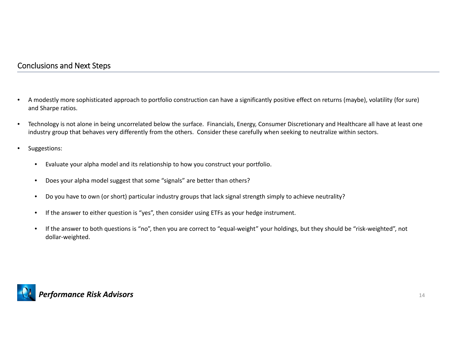## Conclusions and Next Steps

- • A modestly more sophisticated approach to portfolio construction can have <sup>a</sup> significantly positive effect on returns (maybe), volatility (for sure) and Sharpe ratios.
- $\bullet$  Technology is not alone in being uncorrelated below the surface. Financials, Energy, Consumer Discretionary and Healthcare all have at least one industry group that behaves very differently from the others. Consider these carefully when seeking to neutralize within sectors.
- • Suggestions:
	- •Evaluate your alpha model and its relationship to how you construct your portfolio.
	- $\bullet$ Does your alpha model suggest that some "signals" are better than others?
	- •Do you have to own (or short) particular industry groups that lack signal strength simply to achieve neutrality?
	- •• If the answer to either question is "yes", then consider using ETFs as your hedge instrument.
	- •• If the answer to both questions is "no", then you are correct to "equal-weight" your holdings, but they should be "risk-weighted", not dollar‐weighted.

![](_page_13_Picture_9.jpeg)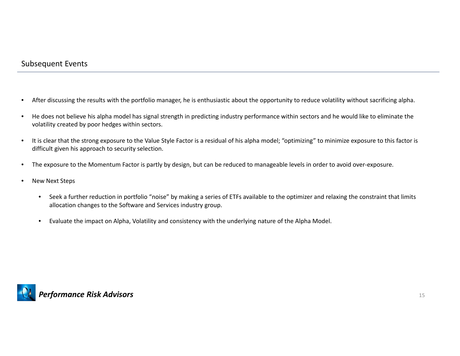### Subsequent Events

- •After discussing the results with the portfolio manager, he is enthusiastic about the opportunity to reduce volatility without sacrificing alpha.
- • He does not believe his alpha model has signal strength in predicting industry performance within sectors and he would like to eliminate the volatility created by poor hedges within sectors.
- • It is clear that the strong exposure to the Value Style Factor is <sup>a</sup> residual of his alpha model; "optimizing" to minimize exposure to this factor is difficult given his approach to security selection.
- •The exposure to the Momentum Factor is partly by design, but can be reduced to manageable levels in order to avoid over‐exposure.
- •• New Next Steps
	- $\bullet$ • Seek a further reduction in portfolio "noise" by making a series of ETFs available to the optimizer and relaxing the constraint that limits allocation changes to the Software and Services industry group.
	- •Evaluate the impact on Alpha, Volatility and consistency with the underlying nature of the Alpha Model.

![](_page_14_Picture_8.jpeg)